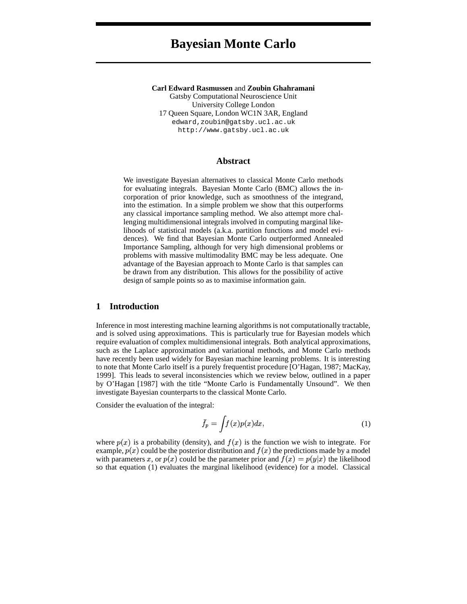# **Bayesian Monte Carlo**

**Carl Edward Rasmussen** and **Zoubin Ghahramani** Gatsby Computational Neuroscience Unit University College London 17 Queen Square, London WC1N 3AR, England edward,zoubin@gatsby.ucl.ac.uk http://www.gatsby.ucl.ac.uk

## **Abstract**

We investigate Bayesian alternatives to classical Monte Carlo methods for evaluating integrals. Bayesian Monte Carlo (BMC) allows the incorporation of prior knowledge, such as smoothness of the integrand, into the estimation. In a simple problem we show that this outperforms any classical importance sampling method. We also attempt more challenging multidimensional integrals involved in computing marginal likelihoods of statistical models (a.k.a. partition functions and model evidences). We find that Bayesian Monte Carlo outperformed Annealed Importance Sampling, although for very high dimensional problems or problems with massive multimodality BMC may be less adequate. One advantage of the Bayesian approach to Monte Carlo is that samples can be drawn from any distribution. This allows for the possibility of active design of sample points so as to maximise information gain.

# **1 Introduction**

Inference in most interesting machine learning algorithms is not computationally tractable, and is solved using approximations. This is particularly true for Bayesian models which require evaluation of complex multidimensional integrals. Both analytical approximations, such as the Laplace approximation and variational methods, and Monte Carlo methods have recently been used widely for Bayesian machine learning problems. It is interesting to note that Monte Carlo itself is a purely frequentist procedure [O'Hagan, 1987; MacKay, 1999]. This leads to several inconsistencies which we review below, outlined in a paper by O'Hagan [1987] with the title "Monte Carlo is Fundamentally Unsound". We then investigate Bayesian counterparts to the classical Monte Carlo.

Consider the evaluation of the integral:

$$
\bar{f}_p = \int f(x)p(x)dx,\tag{1}
$$

where  $p(x)$  is a probability (density), and  $f(x)$  is the function we wish to integrate. For example,  $p(x)$  could be the posterior distribution and  $f(x)$  the predictions made by a model with parameters x, or  $p(x)$  could be the parameter prior and  $f(x) = p(y|x)$  the likelihood so that equation (1) evaluates the marginal likelihood (evidence) for a model. Classical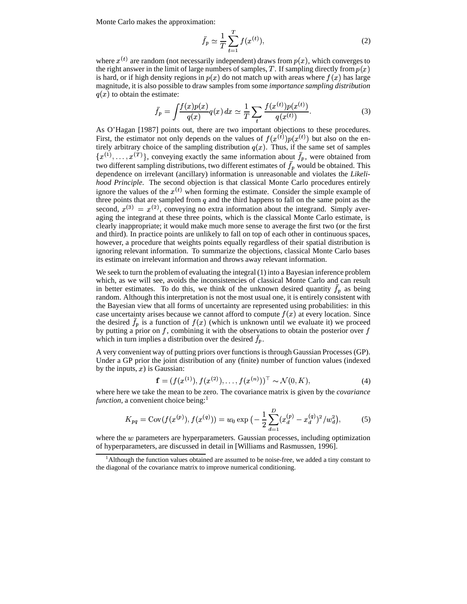Monte Carlo makes the approximation:

$$
\bar{f}_p \simeq \frac{1}{T} \sum_{t=1}^T f(x^{(t)}),
$$
\n(2)

where  $x^{(t)}$  are random (not necessarily independent) draws from  $p(x)$ , which converges to the right answer in the limit of large numbers of samples, T. If sampling directly from  $p(x)$ is hard, or if high density regions in  $p(x)$  do not match up with areas where  $f(x)$  has large magnitude, it is also possible to draw samples from some *importance sampling distribution*  $q(x)$  to obtain the estimate:

$$
\bar{f}_p = \int \frac{f(x)p(x)}{q(x)} q(x) dx \simeq \frac{1}{T} \sum_{t} \frac{f(x^{(t)})p(x^{(t)})}{q(x^{(t)})}.
$$
 (3)

As O'Hagan [1987] points out, there are two important objections to these procedures. First, the estimator not only depends on the values of  $f(x^{(t)})p(x^{(t)})$  but also on the entirely arbitrary choice of the sampling distribution  $q(x)$ . Thus, if the same set of samples  $\{x^{(1)}, \ldots, x^{(T)}\}$ , conveying exactly the same information about  $\bar{f}_p$ , were obtained from two different sampling distributions, two different estimates of  $\bar{f}_p$  would be obtained. This dependence on irrelevant (ancillary) information is unreasonable and violates the *Likeli hood Principle*. The second objection is that classical Monte Carlo procedures entirely ignore the values of the  $x^{(t)}$  when forming the estimate. Consider the simple example of three points that are sampled from  $q$  and the third happens to fall on the same point as the second,  $x^{(3)} = x^{(2)}$ , conveying no extra information about the integrand. Simply averaging the integrand at these three points, which is the classical Monte Carlo estimate, is clearly inappropriate; it would make much more sense to average the first two (or the first and third). In practice points are unlikely to fall on top of each other in continuous spaces, however, a procedure that weights points equally regardless of their spatial distribution is ignoring relevant information. To summarize the objections, classical Monte Carlo bases its estimate on irrelevant information and throws away relevant information.

We seek to turn the problem of evaluating the integral (1) into a Bayesian inference problem which, as we will see, avoids the inconsistencies of classical Monte Carlo and can result in better estimates. To do this, we think of the unknown desired quantity  $\bar{f}_p$  as being random. Although this interpretation is not the most usual one, it is entirely consistent with the Bayesian view that all forms of uncertainty are represented using probabilities: in this case uncertainty arises because we cannot afford to compute  $f(x)$  at every location. Since the desired  $\bar{f}_p$  is a function of  $f(x)$  (which is unknown until we evaluate it) we proceed by putting a prior on  $f$ , combining it with the observations to obtain the posterior over  $f$ which in turn implies a distribution over the desired  $\bar{f}_p$ .

A very convenient way of putting priors over functions is through Gaussian Processes (GP). Under a GP prior the joint distribution of any (finite) number of function values (indexed by the inputs,  $x$ ) is Gaussian:  $\overline{a}$  $\frac{1}{\sqrt{2}}$ 

$$
\mathbf{f} = (f(x^{(1)}), f(x^{(2)}), \dots, f(x^{(n)}))^\top \sim \mathcal{N}(0, K),
$$
\n(4)

where here we take the mean to be zero. The covariance matrix is given by the *covariance function*, a convenient choice being:<sup>1</sup>

$$
K_{pq} = \text{Cov}(f(x^{(p)}), f(x^{(q)})) = w_0 \exp\left(-\frac{1}{2} \sum_{d=1}^{D} (x_d^{(p)} - x_d^{(q)})^2 / w_d^2\right),\tag{5}
$$

where the  $w$  parameters are hyperparameters. Gaussian processes, including optimization of hyperparameters, are discussed in detail in [Williams and Rasmussen, 1996].

<sup>&</sup>lt;sup>1</sup>Although the function values obtained are assumed to be noise-free, we added a tiny constant to the diagonal of the covariance matrix to improve numerical conditioning.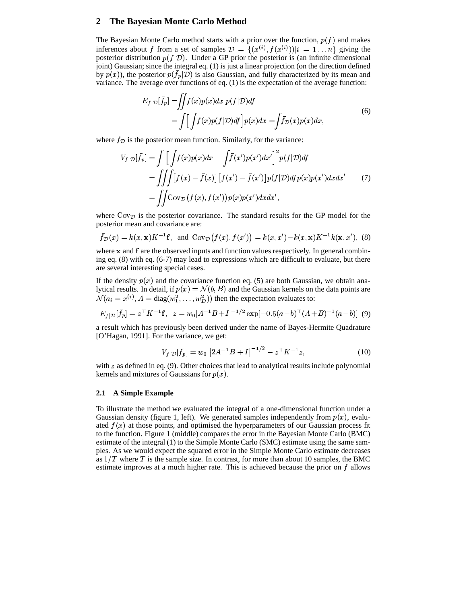## **2 The Bayesian Monte Carlo Method**

The Bayesian Monte Carlo method starts with a prior over the function,  $p(f)$  and makes inferences about f from a set of samples  $\mathcal{D} = \{(x^{(i)}, f(x^{(i)}))|i = 1, \ldots, n\}$  giving the inferences about f from a set of samples  $\mathcal{D} = \{(x^{(i)}, f(x^{(i)})) | i = 1...n\}$  giving the posterior distribution  $p(f|\mathcal{D})$ . Under a GP prior the posterior is (an infinite dimensional joint) Gaussian; since the integral eq. (1) is just a linear projection (on the direction defined by  $p(x)$ ), the posterior  $p(\bar{f}_p|\mathcal{D})$  is also Gaussian, and fully characterized by its mean and variance. The average over functions of eq. (1) is the expectation of the average function:

$$
E_{f|\mathcal{D}}[\bar{f}_p] = \iint f(x)p(x)dx \ p(f|\mathcal{D})df
$$
  
= 
$$
\int \left[ \int f(x)p(f|\mathcal{D})df \right] p(x)dx = \int \bar{f}_{\mathcal{D}}(x)p(x)dx,
$$
 (6)

where  $\bar{f}_{\mathcal{D}}$  is the posterior mean function. Similarly, for the variance:

$$
V_{f|\mathcal{D}}[\bar{f}_p] = \int \left[ \int f(x)p(x)dx - \int \bar{f}(x')p(x')dx' \right]^2 p(f|\mathcal{D})df
$$
  
= 
$$
\int \int \int [f(x) - \bar{f}(x)] [f(x') - \bar{f}(x')]p(f|\mathcal{D})df p(x)p(x')dx dx'
$$
 (7)  
= 
$$
\int \int \text{Cov}_{\mathcal{D}}(f(x), f(x'))p(x)p(x')dx dx',
$$

where  $\text{Cov}_{\mathcal{D}}$  is the posterior covariance. The standard results for the GP model for the posterior mean and covariance are:  $\mathbb{R}^{n}$  is the set of the set of the set of the set of the set of the set of the set of the set of the set of the set of the set of the set of the set of the set of the set of the set of the set of the set of the set

$$
\bar{f}_{\mathcal{D}}(x) = k(x, \mathbf{x})K^{-1}\mathbf{f}
$$
, and  $Cov_{\mathcal{D}}(f(x), f(x')) = k(x, x') - k(x, \mathbf{x})K^{-1}k(\mathbf{x}, x')$ , (8)

where  $\bf{x}$  and  $\bf{f}$  are the observed inputs and function values respectively. In general combining eq. (8) with eq. (6-7) may lead to expressions which are difficult to evaluate, but there are several interesting special cases.

If the density  $p(x)$  and the covariance function eq. (5) are both Gaussian, we obtain ana-It the density  $P(x)$  and the Covariance random eq. (5) are board classian, we obtain and lytical results. In detail, if  $p(x) = \mathcal{N}(b, B)$  and the Gaussian kernels on the data points are  $\mathcal{N}(a_i = x^{(i)}, A = \text{diag}(w_1^2, \dots, w_D^2))$  then the expectation evaluates to:

$$
E_{f|\mathcal{D}}[\bar{f}_p] = z^\top K^{-1} \mathbf{f}, \ \ z = w_0 |A^{-1}B + I|^{-1/2} \exp[-0.5(a-b)^\top (A+B)^{-1} (a-b)] \tag{9}
$$

a result which has previously been derived under the name of Bayes-Hermite Quadrature [O'Hagan, 1991]. For the variance, we get:

$$
V_{f|\mathcal{D}}[\bar{f}_p] = w_0 \left| 2A^{-1}B + I \right|^{-1/2} - z^\top K^{-1} z,\tag{10}
$$

with  $z$  as defined in eq. (9). Other choices that lead to analytical results include polynomial kernels and mixtures of Gaussians for  $p(x)$ .

## **2.1 A Simple Example**

To illustrate the method we evaluated the integral of a one-dimensional function under a Gaussian density (figure 1, left). We generated samples independently from  $p(x)$ , evaluated  $f(x)$  at those points, and optimised the hyperparameters of our Gaussian process fit to the function. Figure 1 (middle) compares the error in the Bayesian Monte Carlo (BMC) estimate of the integral (1) to the Simple Monte Carlo (SMC) estimate using the same samples. As we would expect the squared error in the Simple Monte Carlo estimate decreases as  $1/T$  where T is the sample size. In contrast, for more than about 10 samples, the BMC estimate improves at a much higher rate. This is achieved because the prior on  $f$  allows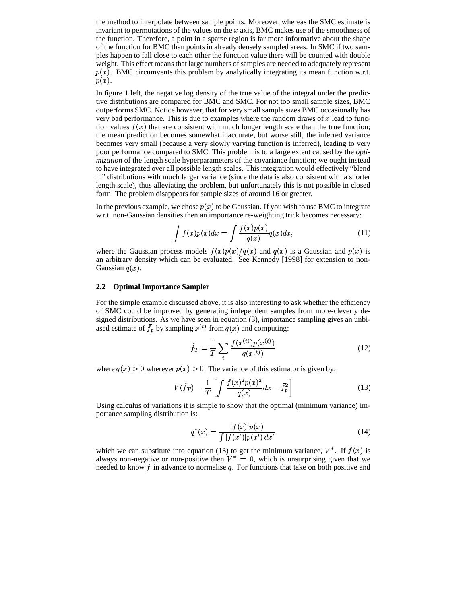the method to interpolate between sample points. Moreover, whereas the SMC estimate is invariant to permutations of the values on the  $x$  axis, BMC makes use of the smoothness of the function. Therefore, a point in a sparse region is far more informative about the shape of the function for BMC than points in already densely sampled areas. In SMC if two samples happen to fall close to each other the function value there will be counted with double weight. This effect means that large numbers of samples are needed to adequately represent  $p(x)$ . BMC circumvents this problem by analytically integrating its mean function w.r.t.  $p(x)$ .

In figure 1 left, the negative log density of the true value of the integral under the predictive distributions are compared for BMC and SMC. For not too small sample sizes, BMC outperforms SMC. Notice however, that for very small sample sizes BMC occasionally has very bad performance. This is due to examples where the random draws of  $x$  lead to function values  $f(x)$  that are consistent with much longer length scale than the true function; the mean prediction becomes somewhat inaccurate, but worse still, the inferred variance becomes very small (because a very slowly varying function is inferred), leading to very poor performance compared to SMC. This problem is to a large extent caused by the *optimization* of the length scale hyperparameters of the covariance function; we ought instead to have integrated over all possible length scales. This integration would effectively "blend in" distributions with much larger variance (since the data is also consistent with a shorter length scale), thus alleviating the problem, but unfortunately this is not possible in closed form. The problem disappears for sample sizes of around 16 or greater.

In the previous example, we chose  $p(x)$  to be Gaussian. If you wish to use BMC to integrate w.r.t. non-Gaussian densities then an importance re-weighting trick becomes necessary:

$$
\int f(x)p(x)dx = \int \frac{f(x)p(x)}{q(x)}q(x)dx,
$$
\n(11)

where the Gaussian process models  $f(x)p(x)/q(x)$  and  $q(x)$  is a Gaussian and  $p(x)$  is an arbitrary density which can be evaluated. See Kennedy [1998] for extension to non-Gaussian  $q(x)$ .

#### **2.2 Optimal Importance Sampler**

For the simple example discussed above, it is also interesting to ask whether the efficiency of SMC could be improved by generating independent samples from more-cleverly de signed distributions. As we have seen in equation (3), importance sampling gives an unbiased estimate of  $\bar{f}_p$  by sampling  $x^{(t)}$  from  $q(x)$  and computing:

$$
\hat{f}_T = \frac{1}{T} \sum_{t} \frac{f(x^{(t)}) p(x^{(t)})}{q(x^{(t)})} \tag{12}
$$

where  $q(x) > 0$  wherever  $p(x) > 0$ . The variance of this estimator is given by:

$$
V(\hat{f}_T) = \frac{1}{T} \left[ \int \frac{f(x)^2 p(x)^2}{q(x)} dx - \bar{f}_p^2 \right]
$$
(13)

Using calculus of variations it is simple to show that the optimal (minimum variance) importance sampling distribution is:

$$
q^*(x) = \frac{|f(x)|p(x)}{\int |f(x')|p(x') dx'}
$$
\n(14)

which we can substitute into equation (13) to get the minimum variance,  $V^*$ . If  $f(x)$  is always non-negative or non-positive then  $V^* = 0$ , which is unsurprising given that we needed to know  $\bar{f}$  in advance to normalise q. For functions that take on both positive and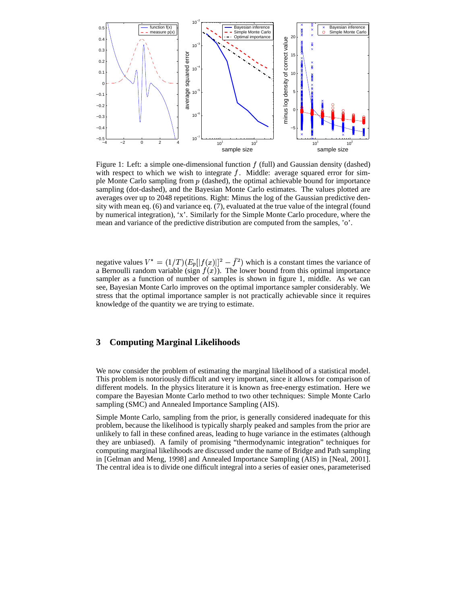

Figure 1: Left: a simple one-dimensional function  $f$  (full) and Gaussian density (dashed) with respect to which we wish to integrate  $f$ . Middle: average squared error for simple Monte Carlo sampling from  $p$  (dashed), the optimal achievable bound for importance sampling (dot-dashed), and the Bayesian Monte Carlo estimates. The values plotted are averages over up to 2048 repetitions. Right: Minus the log of the Gaussian predictive density with mean eq. (6) and variance eq. (7), evaluated at the true value of the integral (found by numerical integration), 'x'. Similarly for the Simple Monte Carlo procedure, where the mean and variance of the predictive distribution are computed from the samples, 'o'.

negative values  $V^* = (1/T)(E_p||f(x)||^2 - \bar{f}^2)$  which is a constant times the variance of a Bernoulli random variable (sign  $f(x)$ ). The lower bound from this optimal importance sampler as a function of number of samples is shown in figure 1, middle. As we can see, Bayesian Monte Carlo improves on the optimal importance sampler considerably. We stress that the optimal importance sampler is not practically achievable since it requires knowledge of the quantity we are trying to estimate.

# **3 Computing Marginal Likelihoods**

We now consider the problem of estimating the marginal likelihood of a statistical model. This problem is notoriously difficult and very important, since it allows for comparison of different models. In the physics literature it is known as free-energy estimation. Here we compare the Bayesian Monte Carlo method to two other techniques: Simple Monte Carlo sampling (SMC) and Annealed Importance Sampling (AIS).

Simple Monte Carlo, sampling from the prior, is generally considered inadequate for this problem, because the likelihood is typically sharply peaked and samples from the prior are unlikely to fall in these confined areas, leading to huge variance in the estimates (although they are unbiased). A family of promising "thermodynamic integration" techniques for computing marginal likelihoods are discussed under the name of Bridge and Path sampling in [Gelman and Meng, 1998] and Annealed Importance Sampling (AIS) in [Neal, 2001]. The central idea is to divide one difficult integral into a series of easier ones, parameterised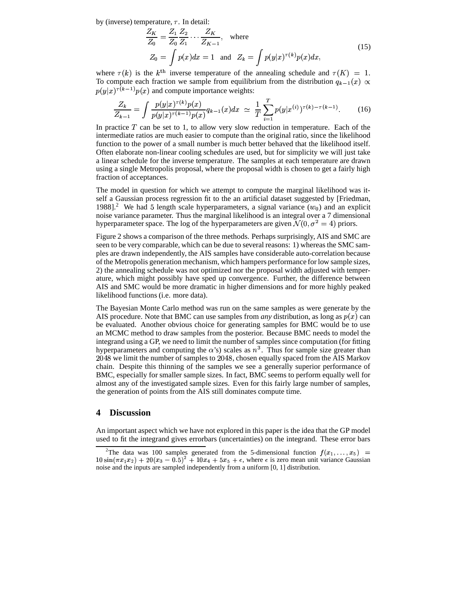by (inverse) temperature,  $\tau$ . In detail:

$$
\frac{Z_K}{Z_0} = \frac{Z_1}{Z_0} \frac{Z_2}{Z_1} \cdots \frac{Z_K}{Z_{K-1}}, \text{ where}
$$
\n
$$
Z_0 = \int p(x) dx = 1 \text{ and } Z_k = \int p(y|x)^{\tau(k)} p(x) dx,
$$
\n(15)

where  $\tau(k)$  is the k<sup>th</sup> inverse temperature of the annealing schedule and  $\tau(K) = 1$ . To compute each fraction we sample from equilibrium from the distribution  $q_{k-1}(x) \propto$  $p(y|x)^{\tau(k-1)}p(x)$  and compute importance weights:

$$
\frac{Z_k}{Z_{k-1}} = \int \frac{p(y|x)^{\tau(k)} p(x)}{p(y|x)^{\tau(k-1)} p(x)} q_{k-1}(x) dx \simeq \frac{1}{T} \sum_{i=1}^T p(y|x^{(i)})^{\tau(k)-\tau(k-1)}.
$$
 (16)

In practice  $T$  can be set to 1, to allow very slow reduction in temperature. Each of the intermediate ratios are much easier to compute than the original ratio, since the likelihood function to the power of a small number is much better behaved that the likelihood itself. Often elaborate non-linear cooling schedules are used, but for simplicity we will just take a linear schedule for the inverse temperature. The samples at each temperature are drawn using a single Metropolis proposal, where the proposal width is chosen to get a fairly high fraction of acceptances.

The model in question for which we attempt to compute the marginal likelihood was itself a Gaussian process regression fit to the an artificial dataset suggested by [Friedman, 1988].<sup>2</sup> We had 5 length scale hyperparameters, a signal variance  $(w_0)$  and an explicit noise variance parameter. Thus the marginal likelihood is an integral over a 7 dimensional hyperparameter space. The log of the hyperparameters are given  $\mathcal{N}(0, \sigma^2 = 4)$  priors.

Figure 2 shows a comparison of the three methods. Perhaps surprisingly, AIS and SMC are seen to be very comparable, which can be due to several reasons: 1) whereas the SMC samples are drawn independently, the AIS samples have considerable auto-correlation because of the Metropolis generation mechanism, which hampers performance for low sample sizes, 2) the annealing schedule was not optimized nor the proposal width adjusted with temperature, which might possibly have sped up convergence. Further, the difference between AIS and SMC would be more dramatic in higher dimensions and for more highly peaked likelihood functions (i.e. more data).

The Bayesian Monte Carlo method was run on the same samples as were generate by the AIS procedure. Note that BMC can use samples from *any* distribution, as long as  $p(x)$  can be evaluated. Another obvious choice for generating samples for BMC would be to use an MCMC method to draw samples from the posterior. Because BMC needs to model the integrand using a GP, we need to limit the number of samples since computation (for fitting hyperparameters and computing the  $\alpha$ 's) scales as  $n^3$ . Thus for sample size greater than 2048 we limit the number of samples to 2048, chosen equally spaced from the AIS Markov chain. Despite this thinning of the samples we see a generally superior performance of BMC, especially for smaller sample sizes. In fact, BMC seems to perform equally well for almost any of the investigated sample sizes. Even for this fairly large number of samples, the generation of points from the AIS still dominates compute time.

## **4 Discussion**

An important aspect which we have not explored in this paper is the idea that the GP model used to fit the integrand gives errorbars (uncertainties) on the integrand. These error bars

<sup>&</sup>lt;sup>2</sup>The data was 100 samples generated from the 5-dimensional function  $f(x_1,...,x_5)$  =  $10\sin(\pi x_1 x_2) + 20(x_3 - 0.5)^2 + 10x_4 + 5x_5 + \epsilon$ , where  $\epsilon$  is zero mean unit variance Gaussian noise and the inputs are sampled independently from a uniform [0, 1] distribution.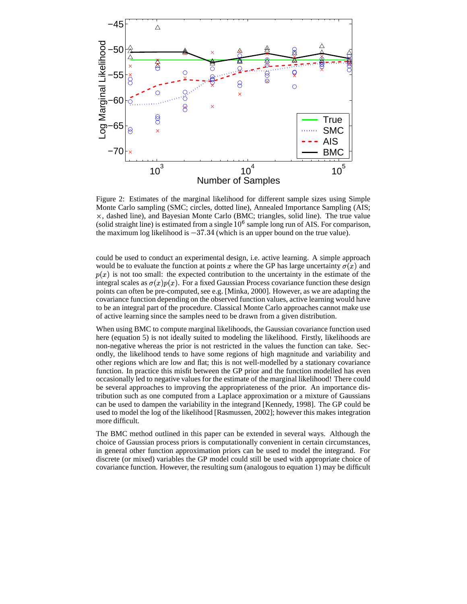

Figure 2: Estimates of the marginal likelihood for different sample sizes using Simple Monte Carlo sampling (SMC; circles, dotted line), Annealed Importance Sampling (AIS; , dashed line), and Bayesian Monte Carlo (BMC; triangles, solid line). The true value (solid straight line) is estimated from a single  $10^6$  sample long run of AIS. For comparison, the maximum log likelihood is  $-37.34$  (which is an upper bound on the true value).

could be used to conduct an experimental design, i.e. active learning. A simple approach would be to evaluate the function at points x where the GP has large uncertainty  $\sigma(x)$  and  $p(x)$  is not too small: the expected contribution to the uncertainty in the estimate of the integral scales as  $\sigma(x)p(x)$ . For a fixed Gaussian Process covariance function these design points can often be pre-computed, see e.g. [Minka, 2000]. However, as we are adapting the covariance function depending on the observed function values, active learning would have to be an integral part of the procedure. Classical Monte Carlo approaches cannot make use of active learning since the samples need to be drawn from a given distribution.

When using BMC to compute marginal likelihoods, the Gaussian covariance function used here (equation 5) is not ideally suited to modeling the likelihood. Firstly, likelihoods are non-negative whereas the prior is not restricted in the values the function can take. Secondly, the likelihood tends to have some regions of high magnitude and variability and other regions which are low and flat; this is not well-modelled by a stationary covariance function. In practice this misfit between the GP prior and the function modelled has even occasionally led to negative values for the estimate of the marginal likelihood! There could be several approaches to improving the appropriateness of the prior. An importance distribution such as one computed from a Laplace approximation or a mixture of Gaussians can be used to dampen the variability in the integrand [Kennedy, 1998]. The GP could be used to model the log of the likelihood [Rasmussen, 2002]; however this makes integration more difficult.

The BMC method outlined in this paper can be extended in several ways. Although the choice of Gaussian process priors is computationally convenient in certain circumstances, in general other function approximation priors can be used to model the integrand. For discrete (or mixed) variables the GP model could still be used with appropriate choice of covariance function. However, the resulting sum (analogous to equation 1) may be difficult